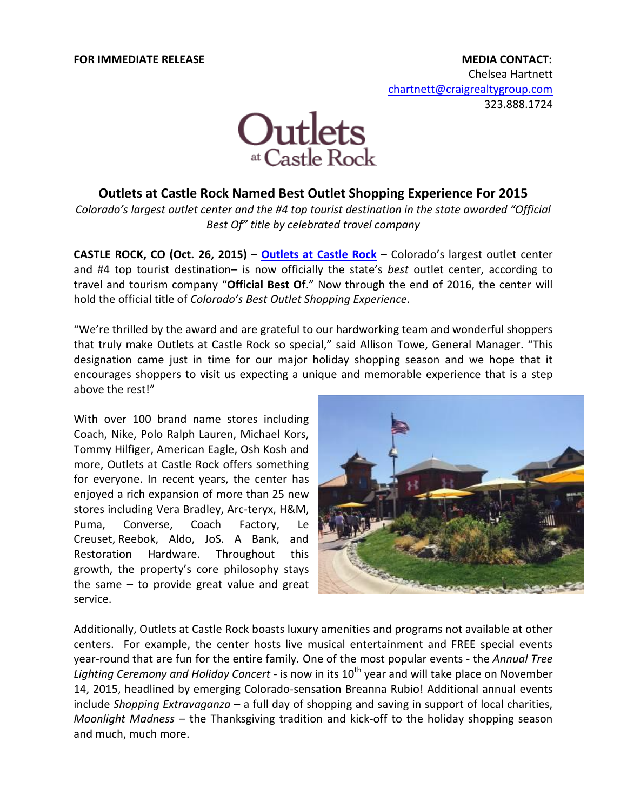

## **Outlets at Castle Rock Named Best Outlet Shopping Experience For 2015**

*Colorado's largest outlet center and the #4 top tourist destination in the state awarded "Official Best Of" title by celebrated travel company*

**CASTLE ROCK, CO (Oct. 26, 2015)** – **[Outlets at Castle Rock](http://www.outletsatcastlerock.com/)** – Colorado's largest outlet center and #4 top tourist destination– is now officially the state's *best* outlet center, according to travel and tourism company "**Official Best Of**." Now through the end of 2016, the center will hold the official title of *Colorado's Best Outlet Shopping Experience*.

"We're thrilled by the award and are grateful to our hardworking team and wonderful shoppers that truly make Outlets at Castle Rock so special," said Allison Towe, General Manager. "This designation came just in time for our major holiday shopping season and we hope that it encourages shoppers to visit us expecting a unique and memorable experience that is a step above the rest!"

With over 100 brand name stores including Coach, Nike, Polo Ralph Lauren, Michael Kors, Tommy Hilfiger, American Eagle, Osh Kosh and more, Outlets at Castle Rock offers something for everyone. In recent years, the center has enjoyed a rich expansion of more than 25 new stores including Vera Bradley, Arc-teryx, H&M, Puma, Converse, Coach Factory, Le Creuset, Reebok, Aldo, JoS. A Bank, and Restoration Hardware. Throughout this growth, the property's core philosophy stays the same – to provide great value and great service.



Additionally, Outlets at Castle Rock boasts luxury amenities and programs not available at other centers. For example, the center hosts live musical entertainment and FREE special events year-round that are fun for the entire family. One of the most popular events - the *Annual Tree*  Lighting Ceremony and Holiday Concert - is now in its 10<sup>th</sup> year and will take place on November 14, 2015, headlined by emerging Colorado-sensation Breanna Rubio! Additional annual events include *Shopping Extravaganza* – a full day of shopping and saving in support of local charities, *Moonlight Madness* – the Thanksgiving tradition and kick-off to the holiday shopping season and much, much more.